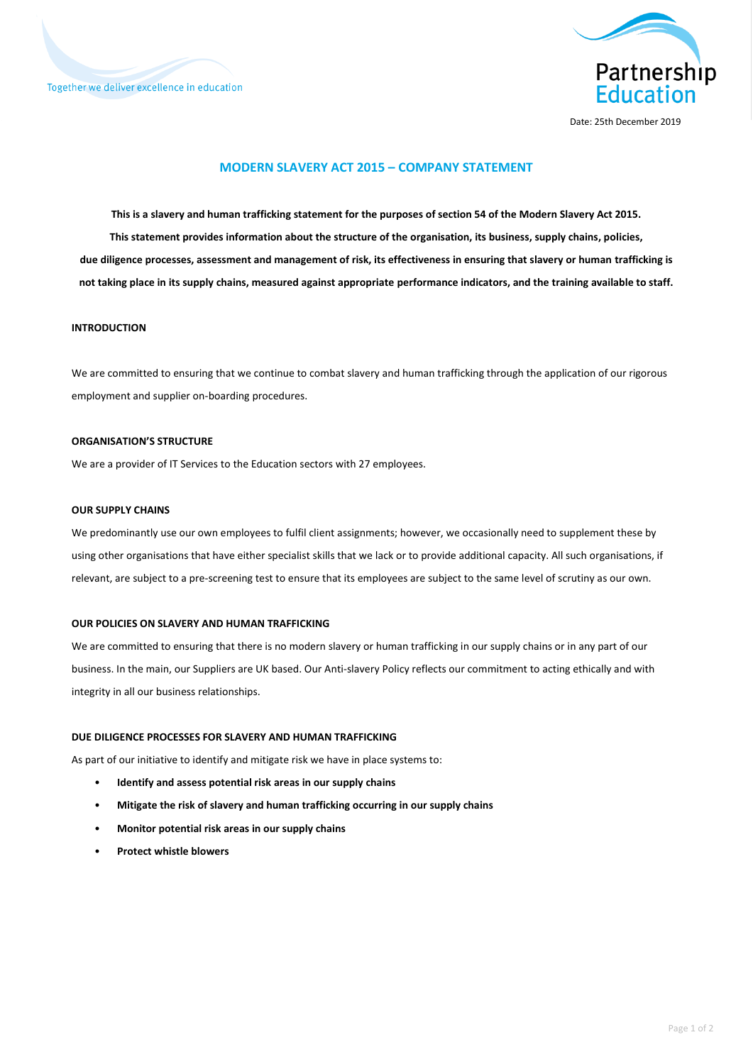



Date: 25th December 2019

# **MODERN SLAVERY ACT 2015 – COMPANY STATEMENT**

**This is a slavery and human trafficking statement for the purposes of section 54 of the Modern Slavery Act 2015. This statement provides information about the structure of the organisation, its business, supply chains, policies, due diligence processes, assessment and management of risk, its effectiveness in ensuring that slavery or human trafficking is not taking place in its supply chains, measured against appropriate performance indicators, and the training available to staff.**

### **INTRODUCTION**

We are committed to ensuring that we continue to combat slavery and human trafficking through the application of our rigorous employment and supplier on-boarding procedures.

# **ORGANISATION'S STRUCTURE**

We are a provider of IT Services to the Education sectors with 27 employees.

#### **OUR SUPPLY CHAINS**

We predominantly use our own employees to fulfil client assignments; however, we occasionally need to supplement these by using other organisations that have either specialist skills that we lack or to provide additional capacity. All such organisations, if relevant, are subject to a pre-screening test to ensure that its employees are subject to the same level of scrutiny as our own.

#### **OUR POLICIES ON SLAVERY AND HUMAN TRAFFICKING**

We are committed to ensuring that there is no modern slavery or human trafficking in our supply chains or in any part of our business. In the main, our Suppliers are UK based. Our Anti-slavery Policy reflects our commitment to acting ethically and with integrity in all our business relationships.

#### **DUE DILIGENCE PROCESSES FOR SLAVERY AND HUMAN TRAFFICKING**

As part of our initiative to identify and mitigate risk we have in place systems to:

- **Identify and assess potential risk areas in our supply chains**
- **Mitigate the risk of slavery and human trafficking occurring in our supply chains**
- **Monitor potential risk areas in our supply chains**
- **Protect whistle blowers**